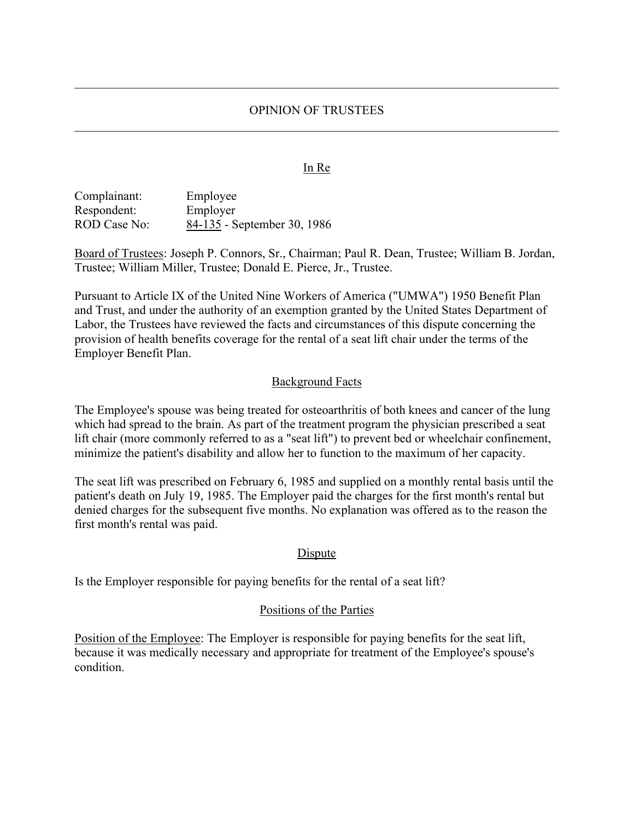### OPINION OF TRUSTEES

#### **In Re**

Complainant: Employee Respondent: Employer ROD Case No: 84-135 - September 30, 1986

Board of Trustees: Joseph P. Connors, Sr., Chairman; Paul R. Dean, Trustee; William B. Jordan, Trustee; William Miller, Trustee; Donald E. Pierce, Jr., Trustee.

Pursuant to Article IX of the United Nine Workers of America ("UMWA") 1950 Benefit Plan and Trust, and under the authority of an exemption granted by the United States Department of Labor, the Trustees have reviewed the facts and circumstances of this dispute concerning the provision of health benefits coverage for the rental of a seat lift chair under the terms of the Employer Benefit Plan.

#### Background Facts

The Employee's spouse was being treated for osteoarthritis of both knees and cancer of the lung which had spread to the brain. As part of the treatment program the physician prescribed a seat lift chair (more commonly referred to as a "seat lift") to prevent bed or wheelchair confinement, minimize the patient's disability and allow her to function to the maximum of her capacity.

The seat lift was prescribed on February 6, 1985 and supplied on a monthly rental basis until the patient's death on July 19, 1985. The Employer paid the charges for the first month's rental but denied charges for the subsequent five months. No explanation was offered as to the reason the first month's rental was paid.

### **Dispute**

Is the Employer responsible for paying benefits for the rental of a seat lift?

#### Positions of the Parties

Position of the Employee: The Employer is responsible for paying benefits for the seat lift, because it was medically necessary and appropriate for treatment of the Employee's spouse's condition.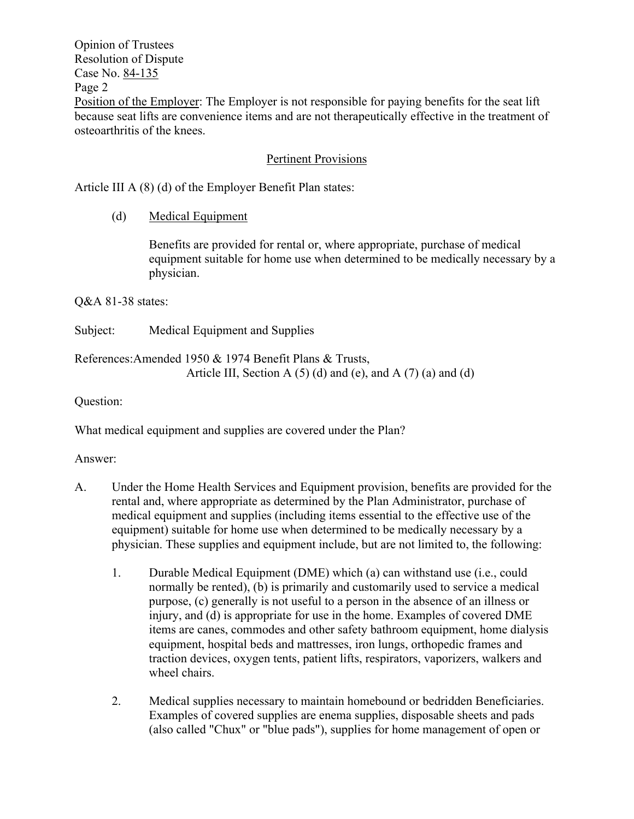Opinion of Trustees Resolution of Dispute Case No. 84-135 Page 2 Position of the Employer: The Employer is not responsible for paying benefits for the seat lift because seat lifts are convenience items and are not therapeutically effective in the treatment of osteoarthritis of the knees.

# Pertinent Provisions

Article III A (8) (d) of the Employer Benefit Plan states:

## (d) Medical Equipment

Benefits are provided for rental or, where appropriate, purchase of medical equipment suitable for home use when determined to be medically necessary by a physician.

Q&A 81-38 states:

Subject: Medical Equipment and Supplies

References:Amended 1950 & 1974 Benefit Plans & Trusts, Article III, Section A  $(5)$  (d) and (e), and A  $(7)$  (a) and (d)

Question:

What medical equipment and supplies are covered under the Plan?

Answer:

- A. Under the Home Health Services and Equipment provision, benefits are provided for the rental and, where appropriate as determined by the Plan Administrator, purchase of medical equipment and supplies (including items essential to the effective use of the equipment) suitable for home use when determined to be medically necessary by a physician. These supplies and equipment include, but are not limited to, the following:
	- 1. Durable Medical Equipment (DME) which (a) can withstand use (i.e., could normally be rented), (b) is primarily and customarily used to service a medical purpose, (c) generally is not useful to a person in the absence of an illness or injury, and (d) is appropriate for use in the home. Examples of covered DME items are canes, commodes and other safety bathroom equipment, home dialysis equipment, hospital beds and mattresses, iron lungs, orthopedic frames and traction devices, oxygen tents, patient lifts, respirators, vaporizers, walkers and wheel chairs.
	- 2. Medical supplies necessary to maintain homebound or bedridden Beneficiaries. Examples of covered supplies are enema supplies, disposable sheets and pads (also called "Chux" or "blue pads"), supplies for home management of open or